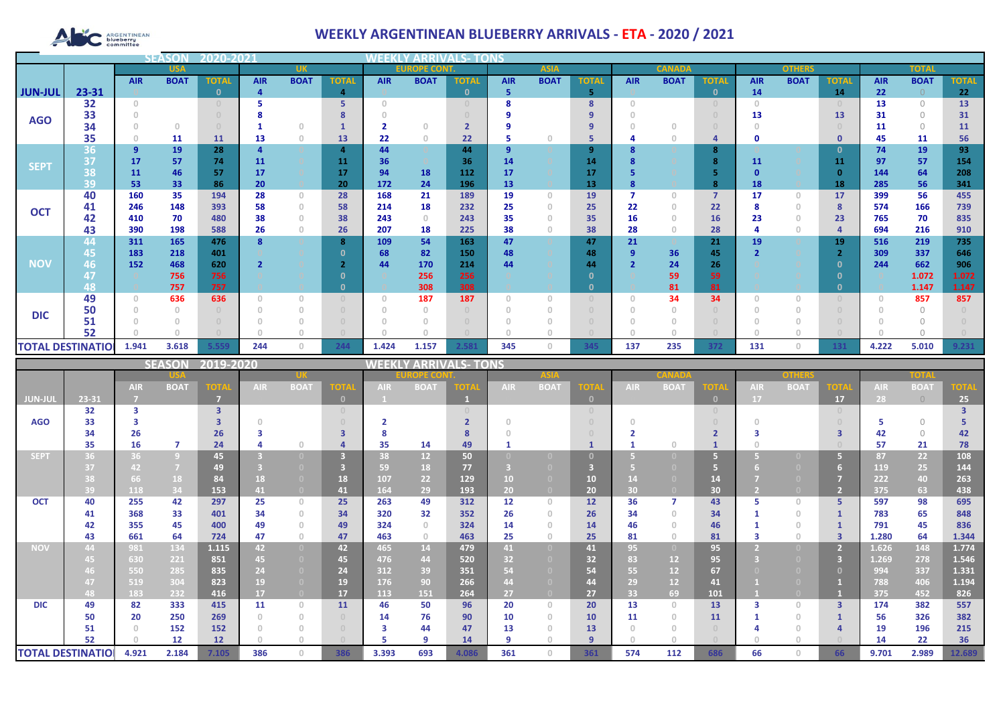# ARGENTINEAN

## **WEEKLY ARGENTINEAN BLUEBERRY ARRIVALS - ETA - 2020 / 2021**

|                          |            | <b>SEASO</b> |             |              |            |                |                                    |                                       |             |              |                |                                       |              |               |             |                                  |               |             |              |            |              |              |
|--------------------------|------------|--------------|-------------|--------------|------------|----------------|------------------------------------|---------------------------------------|-------------|--------------|----------------|---------------------------------------|--------------|---------------|-------------|----------------------------------|---------------|-------------|--------------|------------|--------------|--------------|
|                          | <b>USA</b> |              | <b>UK</b>   |              |            |                | <b>EUROPE CONT.</b><br><b>ASIA</b> |                                       |             |              |                |                                       |              | <b>CANADA</b> |             |                                  | <b>OTHERS</b> |             | <b>TOTAL</b> |            |              |              |
|                          |            | <b>AIR</b>   | <b>BOAT</b> | <b>TOTAL</b> | <b>AIR</b> | <b>BOAT</b>    | <b>TOTAL</b>                       | <b>AIR</b>                            | <b>BOAT</b> | <b>TOTAL</b> | <b>AIR</b>     | <b>BOAT</b>                           | <b>TOTA</b>  | <b>AIR</b>    | <b>BOAT</b> | <b>TOTAL</b>                     | <b>AIR</b>    | <b>BOAT</b> | <b>TOTAL</b> | <b>AIR</b> | <b>BOAT</b>  | <b>TOTAL</b> |
| <b>JUN-JUL</b>           | 23-31      |              |             | n            |            |                | 4                                  |                                       |             | $\mathbf{0}$ | 5              |                                       | 5            |               |             | $\mathbf{0}$                     | 14            |             | 14           | 22         |              | 22           |
|                          | 32         | $\Omega$     |             |              |            |                |                                    | $\cap$                                |             |              |                |                                       | 8            |               |             | $\begin{array}{c} \n\end{array}$ | $\Box$        |             |              | 13         | $\bigcap$    | 13           |
| <b>AGO</b>               | 33         |              |             |              |            |                |                                    |                                       |             |              |                |                                       |              |               |             |                                  | 13            |             | 13           | 31         | $\bigcap$    | 31           |
|                          | 34         |              | $\Omega$    |              |            | $\Omega$       |                                    |                                       | $\Omega$    |              |                |                                       | 9            |               |             |                                  |               |             |              | 11         | $\bigcap$    | 11           |
|                          | 35         |              | 11          | <b>11</b>    | 13         | $\overline{0}$ | 13                                 | 22                                    | $\theta$    | 22           |                | n.                                    | 5            |               |             | 4                                | 0             |             | $\mathbf 0$  | 45         | 11           | 56           |
|                          | 36         | 9            | 19          | 28           |            |                | 4                                  | 44                                    |             | 44           | 9              |                                       | 9            |               |             | 8                                |               |             | 0            | 74         | 19           | 93           |
| <b>SEPT</b>              | 37         | 17           | 57          | 74           | 11         |                | 11                                 | 36                                    |             | 36           | 14             |                                       | 14           |               |             | 8                                | 11            |             | 11           | 97         | 57           | 154          |
|                          | 38         | 11           | 46          | 57           | 17         |                | 17                                 | 94                                    | 18          | 112          | 17             |                                       | 17           |               |             |                                  |               |             | - 0          | 144        | 64           | 208          |
|                          | 39         | 53           | 33          | 86           | 20         |                | 20                                 | 172                                   | 24          | 196          | 13             |                                       | 13           |               |             | 8                                | 18            |             | 18           | 285        | 56           | 341          |
|                          | 40         | 160          | 35          | 194          | 28         | $\circ$        | 28                                 | 168                                   | 21          | 189          | 19             | $\begin{array}{c} 0 \\ 0 \end{array}$ | 19           |               | 0           | $\overline{7}$                   | 17            | $\circ$     | 17           | 399        | 56           | 455          |
| <b>OCT</b>               | 41         | 246          | 148         | 393          | 58         | $\theta$       | 58                                 | 214                                   | 18          | 232          | 25             | n.                                    | 25           | 22            |             | 22                               |               | $\circ$     | -8           | 574        | 166          | 739          |
|                          | 42         | 410          | 70          | 480          | 38         | $\Omega$       | 38                                 | 243                                   | $\Omega$    | 243          | 35             |                                       | 35           | 16            |             | 16                               | 23            | $\Omega$    | 23           | 765        | 70           | 835          |
|                          | 43         | 390          | 198         | 588          | 26         | $\theta$       | 26                                 | 207                                   | 18          | 225          | 38             |                                       | 38           | 28            |             | 28                               |               | $\circ$     |              | 694        | 216          | 910          |
|                          | 44         | 311          | 165         | 476          |            |                | 8                                  | 109                                   | 54          | 163          | 47             |                                       | 47           | 21            |             | 21                               | 19            |             | 19           | 516        | 219          | 735          |
| <b>NOV</b>               | 45         | 183          | 218         | 401          |            |                |                                    | 68                                    | 82          | 150          | 48             |                                       | 48           | 9             | 36          | 45                               |               |             | - 0          | 309        | 337          | 646          |
|                          | 46         | 152          | 468<br>756  | 620<br>756   |            |                |                                    | 44                                    | 170<br>256  | 214<br>256   | 44             |                                       | 44<br>n      |               | 24          | 26<br>59                         |               |             | - 0          | 244        | 662<br>1.072 | 906<br>1.072 |
|                          | 48         |              | 757         | 757          |            |                | $\Omega$                           |                                       | 308         | 308          |                |                                       | $\mathbf{0}$ |               | 59<br>81    | 81                               |               |             | 0            |            | 1.147        | 1.147        |
|                          | 49         |              | 636         | 636          |            | $\overline{0}$ | $\begin{array}{c} 0 \end{array}$   | $\begin{array}{c} 0 \\ 0 \end{array}$ | 187         | 187          | $\overline{0}$ |                                       |              |               | 34          | 34                               |               |             |              |            | 857          | 857          |
|                          | 50         |              |             |              |            | $\Omega$       | $\Box$                             |                                       |             |              |                |                                       |              |               |             |                                  |               |             |              |            | $\Omega$     |              |
| <b>DIC</b>               | 51         |              |             |              |            |                |                                    |                                       |             |              |                |                                       |              |               |             |                                  |               |             |              |            |              |              |
|                          | 52         |              |             |              |            |                |                                    |                                       |             |              |                |                                       |              |               |             |                                  |               |             |              |            |              |              |
| <b>TOTAL DESTINATIOL</b> |            | 1.941        | 3.618       | 5.559        | 244        | $\circ$        | 244                                | 1.424                                 | 1.157       | 2.581        | 345            | $\Omega$                              | 345          | 137           | 235         | 372                              | 131           | $\circ$     | 131          | 4.222      | 5.010        | 9.231        |

|                          |       |            | <b>SEASON</b>  | 2019-2020               |            |                                       |              | <b>VEEKI</b> |                 | <b>/ ARRIVALS- TONS</b> |            |                |                |            |             |              |            |             |             |            |             |             |
|--------------------------|-------|------------|----------------|-------------------------|------------|---------------------------------------|--------------|--------------|-----------------|-------------------------|------------|----------------|----------------|------------|-------------|--------------|------------|-------------|-------------|------------|-------------|-------------|
|                          |       |            |                |                         |            | DPE CO                                |              |              |                 |                         |            |                |                | onhar      |             |              | TOTA       |             |             |            |             |             |
|                          |       | <b>AIR</b> | <b>BOAT</b>    | <b>TOTA</b>             | <b>AIR</b> | <b>BOAT</b>                           | <b>TOTA</b>  | <b>AIR</b>   | <b>BOAT</b>     | TOTA                    | <b>AIR</b> | <b>BOAT</b>    | <b>TOTA</b>    | <b>AIR</b> | <b>BOAT</b> | <b>TOTA</b>  | <b>AIR</b> | <b>BOAT</b> | <b>TOTA</b> | <b>AIR</b> | <b>BOAT</b> | <b>TOTA</b> |
| JUN-JUI                  | 23-31 |            |                | m                       |            |                                       | $\mathbf{0}$ |              |                 |                         |            |                | $\mathbf{0}$   |            |             | $\mathbf{0}$ | <b>17</b>  |             | 17          | 28         | $\bigcirc$  | 25          |
|                          | 32    | з          |                | $\overline{\mathbf{3}}$ |            |                                       |              |              |                 |                         |            |                |                |            |             | $\Box$       |            |             |             |            |             |             |
| <b>AGO</b>               | 33    |            |                |                         |            |                                       |              |              |                 |                         |            |                |                |            |             |              |            |             |             |            | $\bigcap$   |             |
|                          | 34    | 26         |                | 26                      |            |                                       | ₹            |              |                 |                         |            |                |                |            |             |              |            |             |             | 42         | $\bigcap$   | 42          |
|                          | 35    | 16         | 7              | 24                      |            | $\cap$                                |              | 35           | 14              | 49                      |            |                |                |            |             |              |            |             |             | 57         | 21          | 78          |
| <b>SEPT</b>              | 36    | 36         | $\overline{9}$ | 45                      |            |                                       | 3            | 38           | 12 <sup>2</sup> | 50                      |            |                |                |            |             | G            |            |             |             | 87         | 22          | 108         |
|                          | 37    | 42         | $\overline{7}$ | 49                      |            |                                       |              | 59           | 18              | 77                      |            |                |                |            |             | 67           |            |             |             | 119        | 25          | 144         |
|                          |       | 66         | 18             | 84                      | 18         | $\Box$                                | 18           | 107          | 22              | 129                     | 10         |                | 10             |            |             | 14           |            |             |             | 222        | 40          | 263         |
|                          | 39    | 118        | 34             | 153                     | 41         | $\overline{0}$                        | 41           | 164          | 29              | 193                     | 20         |                | 20             | 30         |             | 30           |            |             |             | 375        | 63          | 438         |
| <b>OCT</b>               | 40    | 255        | 42             | 297                     | 25         | $\Omega$                              | 25           | 263          | 49              | 312                     | 12         | $\Omega$       | 12             | 36         |             | 43           |            | $\Box$      | 5.          | 597        | 98          | 695         |
|                          | 41    | 368        | 33             | 401                     | 34         | $\circ$                               | 34           | 320          | 32              | 352                     | 26         |                | 26             | 34         | $\cap$      | 34           |            | $\cap$      |             | 783        | 65          | 848         |
|                          | 42    | 355        | 45             | 400                     | 49         | $\begin{array}{c} 0 \\ 0 \end{array}$ | 49           | 324          | $\Omega$        | 324                     | 14         |                | 14             | 46         |             | 46           |            |             |             | 791        | 45          | 836         |
|                          | 43    | 661        | 64             | 724                     | 47         | $\begin{array}{c} 0 \\ 0 \end{array}$ | 47           | 463          | $\Omega$        | 463                     | 25         | $\Omega$       | 25             | 81         | 0.          | 81           |            | $\cap$      |             | 1.280      | 64          | 1.344       |
| <b>NOV</b>               | 44    | 981        | 134            | 1.115                   | 42         | $\overline{0}$                        | 42           | 465          | 14              | 479                     | 41         | $\overline{0}$ | 41             | 95         |             | 95           |            |             |             | 1.626      | 148         | 1.774       |
|                          | 45    | 630        | 221            | 851                     | 45         | $\Box$                                | 45           | 476          | 44              | 520                     | 32         |                | 32             | 83         | 12          | 95           |            |             | в           | 1.269      | 278         | 1.546       |
|                          |       | 550        | 285            | 835                     | 24         | $\bullet$                             | 24           | 312          | 39              | 351                     | 54         |                | 54             | 55         | 12          | 67           |            |             |             | 994        | 337         | 1.331       |
|                          | 47    | 519        | 304            | 823                     | 19         |                                       | 19           | 176          | 90              | 266                     | 44         |                | 44             | 29         | 12          | 41           |            |             |             | 788        | 406         | 1.194       |
|                          | 48    | 183        | 232            | 416                     | 17         | $\overline{0}$                        | 17           | 113          | 151             | 264                     | 27         |                | 27             | 33         | 69          | 101          |            |             |             | 375        | 452         | 826         |
| <b>DIC</b>               | 49    | 82         | 333            | 415                     | 11         | $\Omega$                              | 11           | 46           | 50              | 96                      | 20         | $\Box$         | 20             | 13         | $\cap$      | 13           |            | $\Box$      | 3           | 174        | 382         | 557         |
|                          | 50    | 20         | 250            | 269                     |            | $\Omega$                              |              | 14           | 76              | 90                      | 10         | $\Omega$       | 10             | 11         | $\cap$      | 11           |            | $\Box$      |             | 56         | 326         | 382         |
|                          | 51    |            | 152            | 152                     |            | $\Box$                                |              | з            | 44              | 47                      | 13         |                | 13             |            |             |              |            |             |             | 19         | 196         | 215         |
|                          | 52    |            | 12             | 12                      |            |                                       |              |              | $\circ$         | 14                      | q          |                | $\overline{9}$ |            |             |              |            |             |             | 14         | 22          | 36          |
| <b>TOTAL DESTINATIOI</b> |       | 4.921      | 2.184          | 7.105                   | 386        | $\Omega$                              | 386          | 3.393        | 693             | 4.086                   | 361        | $\Box$         | 361            | 574        | 112         | 686          | 66         | $\cap$      | 66          | 9.701      | 2.989       | 12.689      |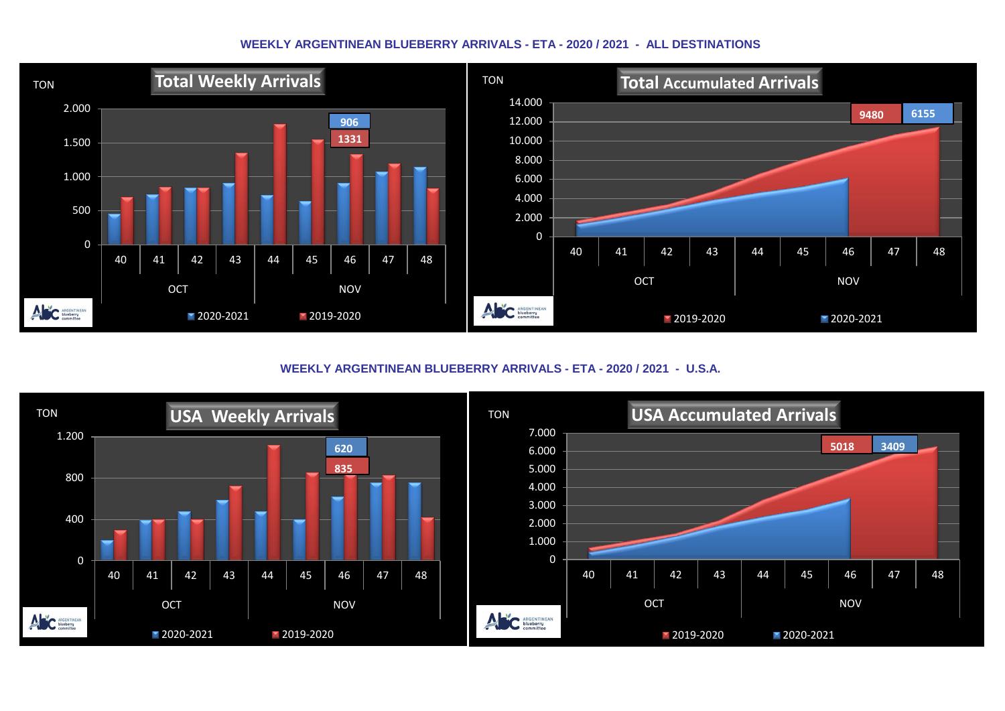#### **WEEKLY ARGENTINEAN BLUEBERRY ARRIVALS - ETA - 2020 / 2021 - ALL DESTINATIONS**



**WEEKLY ARGENTINEAN BLUEBERRY ARRIVALS - ETA - 2020 / 2021 - U.S.A.**

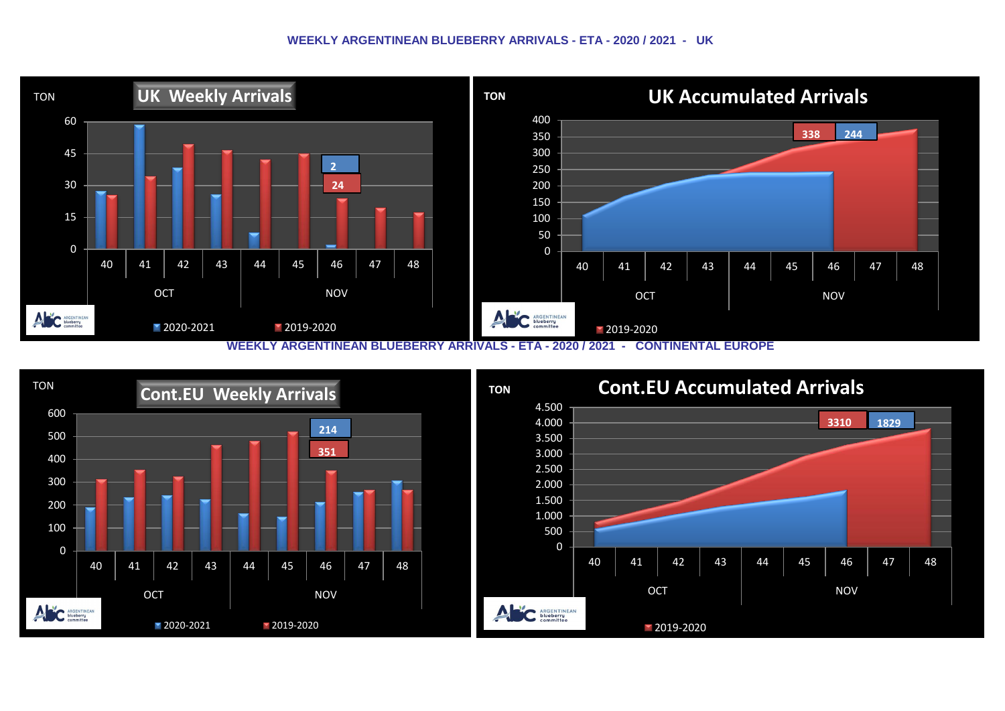#### **WEEKLY ARGENTINEAN BLUEBERRY ARRIVALS - ETA - 2020 / 2021 - UK**